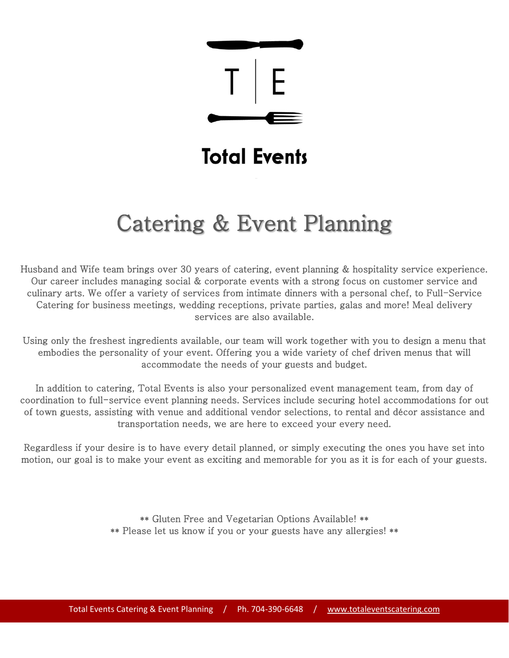

# **Total Events**

# Catering & Event Planning

Husband and Wife team brings over 30 years of catering, event planning & hospitality service experience. Our career includes managing social & corporate events with a strong focus on customer service and culinary arts. We offer a variety of services from intimate dinners with a personal chef, to Full-Service Catering for business meetings, wedding receptions, private parties, galas and more! Meal delivery services are also available.

Using only the freshest ingredients available, our team will work together with you to design a menu that embodies the personality of your event. Offering you a wide variety of chef driven menus that will accommodate the needs of your guests and budget.

In addition to catering, Total Events is also your personalized event management team, from day of coordination to full-service event planning needs. Services include securing hotel accommodations for out of town guests, assisting with venue and additional vendor selections, to rental and décor assistance and transportation needs, we are here to exceed your every need.

Regardless if your desire is to have every detail planned, or simply executing the ones you have set into motion, our goal is to make your event as exciting and memorable for you as it is for each of your guests.

> \*\* Gluten Free and Vegetarian Options Available! \*\* \*\* Please let us know if you or your guests have any allergies! \*\*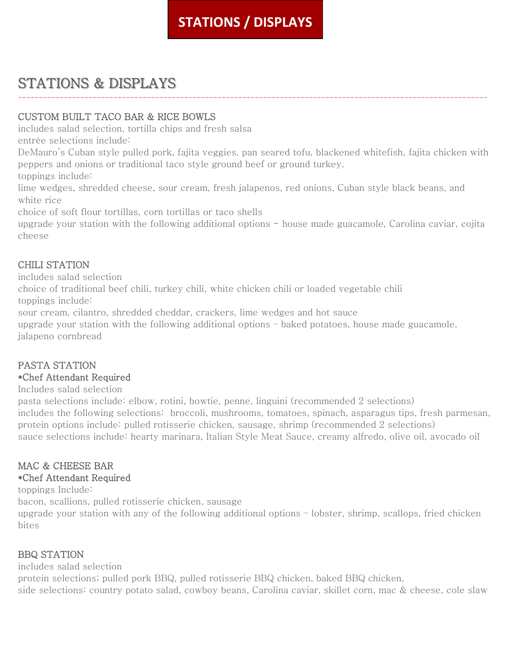# **STATIONS / DISPLAYS**

# STATIONS & DISPLAYS

### CUSTOM BUILT TACO BAR & RICE BOWLS

includes salad selection, tortilla chips and fresh salsa

entrée selections include:

DeMauro's Cuban style pulled pork, fajita veggies, pan seared tofu, blackened whitefish, fajita chicken with peppers and onions or traditional taco style ground beef or ground turkey.

-----------------------------------------------------------------------------------------------------------------

toppings include:

lime wedges, shredded cheese, sour cream, fresh jalapenos, red onions, Cuban style black beans, and white rice

choice of soft flour tortillas, corn tortillas or taco shells

upgrade your station with the following additional options - house made guacamole, Carolina caviar, cojita cheese

### CHILI STATION

includes salad selection

choice of traditional beef chili, turkey chili, white chicken chili or loaded vegetable chili toppings include:

sour cream, cilantro, shredded cheddar, crackers, lime wedges and hot sauce

upgrade your station with the following additional options – baked potatoes, house made guacamole, jalapeno cornbread

### PASTA STATION

#### \*Chef Attendant Required

Includes salad selection

pasta selections include: elbow, rotini, bowtie, penne, linguini (recommended 2 selections) includes the following selections: broccoli, mushrooms, tomatoes, spinach, asparagus tips, fresh parmesan, protein options include: pulled rotisserie chicken, sausage, shrimp (recommended 2 selections) sauce selections include: hearty marinara, Italian Style Meat Sauce, creamy alfredo, olive oil, avocado oil

### MAC & CHEESE BAR

#### \*Chef Attendant Required

toppings Include:

bacon, scallions, pulled rotisserie chicken, sausage

upgrade your station with any of the following additional options – lobster, shrimp, scallops, fried chicken bites

### BBQ STATION

includes salad selection

protein selections; pulled pork BBQ, pulled rotisserie BBQ chicken, baked BBQ chicken, side selections: country potato salad, cowboy beans, Carolina caviar, skillet corn, mac & cheese, cole slaw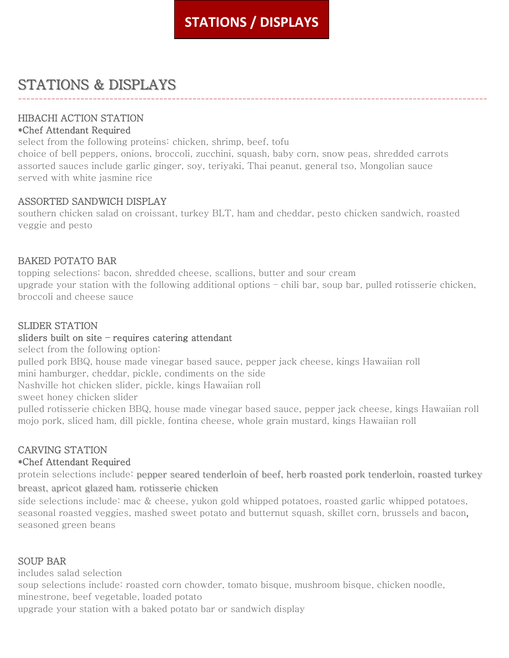# **STATIONS / DISPLAYS**

-----------------------------------------------------------------------------------------------------------------

# STATIONS & DISPLAYS

### HIBACHI ACTION STATION

#### \*Chef Attendant Required

select from the following proteins: chicken, shrimp, beef, tofu

choice of bell peppers, onions, broccoli, zucchini, squash, baby corn, snow peas, shredded carrots assorted sauces include garlic ginger, soy, teriyaki, Thai peanut, general tso, Mongolian sauce served with white jasmine rice

### ASSORTED SANDWICH DISPLAY

southern chicken salad on croissant, turkey BLT, ham and cheddar, pesto chicken sandwich, roasted veggie and pesto

### BAKED POTATO BAR

topping selections: bacon, shredded cheese, scallions, butter and sour cream upgrade your station with the following additional options – chili bar, soup bar, pulled rotisserie chicken, broccoli and cheese sauce

#### SLIDER STATION

#### sliders built on site – requires catering attendant

select from the following option:

pulled pork BBQ, house made vinegar based sauce, pepper jack cheese, kings Hawaiian roll mini hamburger, cheddar, pickle, condiments on the side

Nashville hot chicken slider, pickle, kings Hawaiian roll

sweet honey chicken slider

pulled rotisserie chicken BBQ, house made vinegar based sauce, pepper jack cheese, kings Hawaiian roll mojo pork, sliced ham, dill pickle, fontina cheese, whole grain mustard, kings Hawaiian roll

### CARVING STATION

#### \*Chef Attendant Required

protein selections include: pepper seared tenderloin of beef, herb roasted pork tenderloin, roasted turkey breast, apricot glazed ham, rotisserie chicken

side selections include: mac & cheese, yukon gold whipped potatoes, roasted garlic whipped potatoes, seasonal roasted veggies, mashed sweet potato and butternut squash, skillet corn, brussels and bacon, seasoned green beans

#### SOUP BAR

includes salad selection

soup selections include: roasted corn chowder, tomato bisque, mushroom bisque, chicken noodle, minestrone, beef vegetable, loaded potato

upgrade your station with a baked potato bar or sandwich display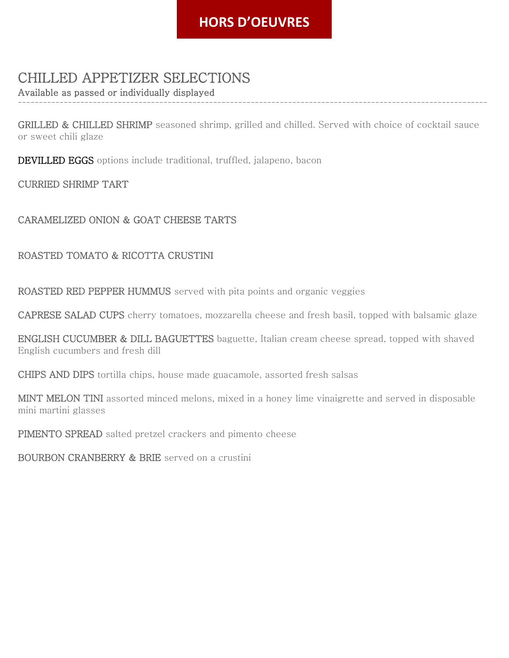## **STATIONS HORS D'OEUVRES / DISPLAYS**

## CHILLED APPETIZER SELECTIONS

Available as passed or individually displayed

GRILLED & CHILLED SHRIMP seasoned shrimp, grilled and chilled. Served with choice of cocktail sauce or sweet chili glaze

-----------------------------------------------------------------------------------------------------------------

DEVILLED EGGS options include traditional, truffled, jalapeno, bacon

CURRIED SHRIMP TART

### CARAMELIZED ONION & GOAT CHEESE TARTS

### ROASTED TOMATO & RICOTTA CRUSTINI

ROASTED RED PEPPER HUMMUS served with pita points and organic veggies

CAPRESE SALAD CUPS cherry tomatoes, mozzarella cheese and fresh basil, topped with balsamic glaze

ENGLISH CUCUMBER & DILL BAGUETTES baguette, Italian cream cheese spread, topped with shaved English cucumbers and fresh dill

CHIPS AND DIPS tortilla chips, house made guacamole, assorted fresh salsas

MINT MELON TINI assorted minced melons, mixed in a honey lime vinaigrette and served in disposable mini martini glasses

PIMENTO SPREAD salted pretzel crackers and pimento cheese

BOURBON CRANBERRY & BRIE served on a crustini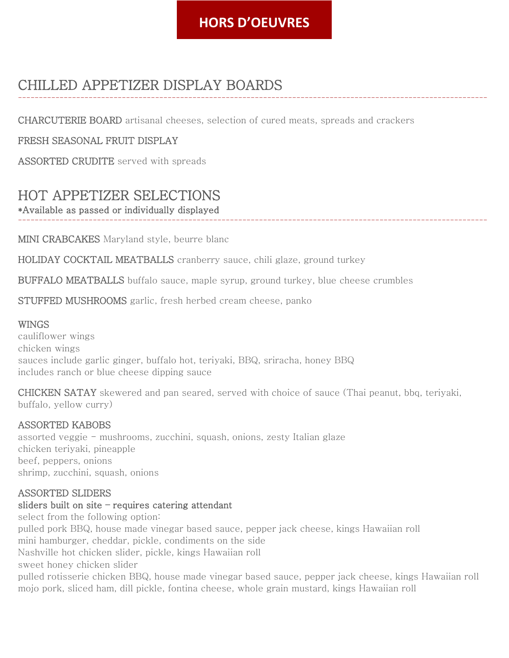# **HORS D'OEUVRES**

-----------------------------------------------------------------------------------------------------------------

# CHILLED APPETIZER DISPLAY BOARDS

CHARCUTERIE BOARD artisanal cheeses, selection of cured meats, spreads and crackers

#### FRESH SEASONAL FRUIT DISPLAY

ASSORTED CRUDITE served with spreads

# HOT APPETIZER SELECTIONS

\*Available as passed or individually displayed -----------------------------------------------------------------------------------------------------------------

MINI CRABCAKES Maryland style, beurre blanc

HOLIDAY COCKTAIL MEATBALLS cranberry sauce, chili glaze, ground turkey

BUFFALO MEATBALLS buffalo sauce, maple syrup, ground turkey, blue cheese crumbles

STUFFED MUSHROOMS garlic, fresh herbed cream cheese, panko

#### WINGS

cauliflower wings chicken wings sauces include garlic ginger, buffalo hot, teriyaki, BBQ, sriracha, honey BBQ includes ranch or blue cheese dipping sauce

CHICKEN SATAY skewered and pan seared, served with choice of sauce (Thai peanut, bbq, teriyaki, buffalo, yellow curry)

#### ASSORTED KABOBS

assorted veggie - mushrooms, zucchini, squash, onions, zesty Italian glaze chicken teriyaki, pineapple beef, peppers, onions shrimp, zucchini, squash, onions

#### ASSORTED SLIDERS

#### sliders built on site – requires catering attendant

select from the following option: pulled pork BBQ, house made vinegar based sauce, pepper jack cheese, kings Hawaiian roll mini hamburger, cheddar, pickle, condiments on the side Nashville hot chicken slider, pickle, kings Hawaiian roll sweet honey chicken slider pulled rotisserie chicken BBQ, house made vinegar based sauce, pepper jack cheese, kings Hawaiian roll mojo pork, sliced ham, dill pickle, fontina cheese, whole grain mustard, kings Hawaiian roll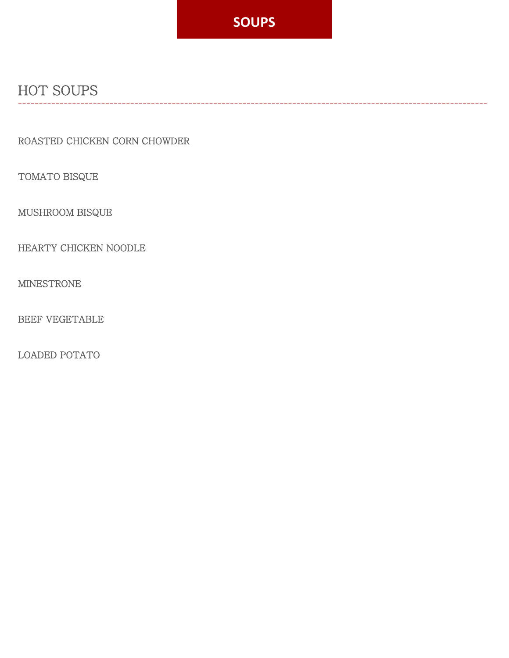

-----------------------------------------------------------------------------------------------------------------

# HOT SOUPS

ROASTED CHICKEN CORN CHOWDER

TOMATO BISQUE

MUSHROOM BISQUE

HEARTY CHICKEN NOODLE

MINESTRONE

BEEF VEGETABLE

LOADED POTATO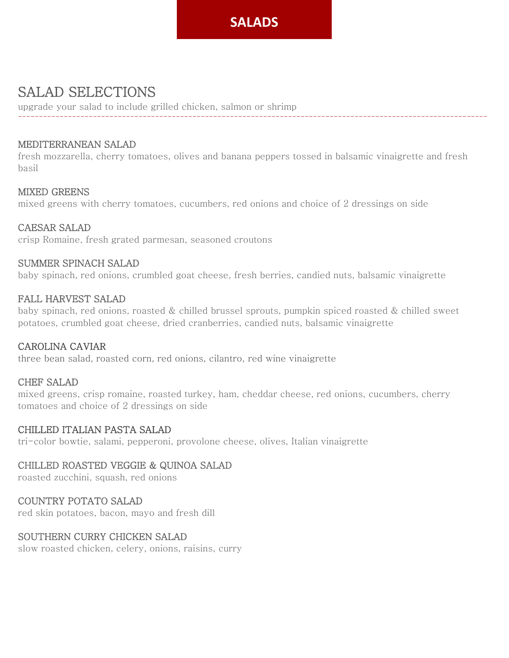# **SALADS SALAD**

# SALAD SELECTIONS

upgrade your salad to include grilled chicken, salmon or shrimp

#### MEDITERRANEAN SALAD

fresh mozzarella, cherry tomatoes, olives and banana peppers tossed in balsamic vinaigrette and fresh basil

-----------------------------------------------------------------------------------------------------------------

#### MIXED GREENS

mixed greens with cherry tomatoes, cucumbers, red onions and choice of 2 dressings on side

#### CAESAR SALAD

crisp Romaine, fresh grated parmesan, seasoned croutons

#### SUMMER SPINACH SALAD

baby spinach, red onions, crumbled goat cheese, fresh berries, candied nuts, balsamic vinaigrette

#### FALL HARVEST SALAD

baby spinach, red onions, roasted & chilled brussel sprouts, pumpkin spiced roasted & chilled sweet potatoes, crumbled goat cheese, dried cranberries, candied nuts, balsamic vinaigrette

#### CAROLINA CAVIAR

three bean salad, roasted corn, red onions, cilantro, red wine vinaigrette

#### CHEF SALAD

mixed greens, crisp romaine, roasted turkey, ham, cheddar cheese, red onions, cucumbers, cherry tomatoes and choice of 2 dressings on side

#### CHILLED ITALIAN PASTA SALAD

tri-color bowtie, salami, pepperoni, provolone cheese, olives, Italian vinaigrette

#### CHILLED ROASTED VEGGIE & QUINOA SALAD

roasted zucchini, squash, red onions

#### COUNTRY POTATO SALAD

red skin potatoes, bacon, mayo and fresh dill

#### SOUTHERN CURRY CHICKEN SALAD

slow roasted chicken, celery, onions, raisins, curry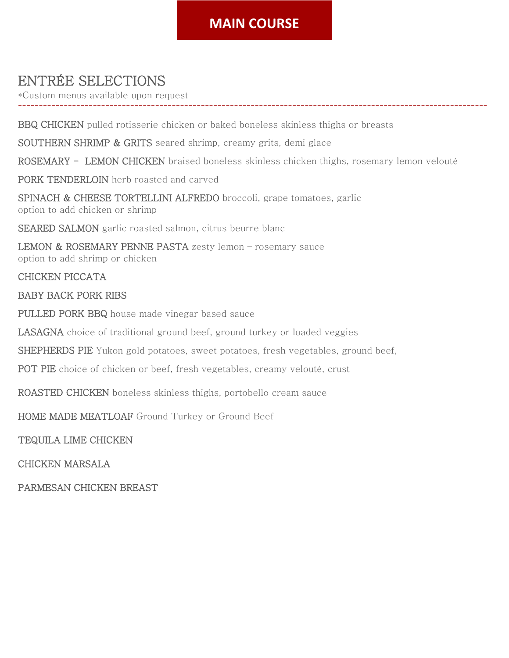# **MAIN COURSE**

-----------------------------------------------------------------------------------------------------------------

# ENTRÉE SELECTIONS

\*Custom menus available upon request

BBQ CHICKEN pulled rotisserie chicken or baked boneless skinless thighs or breasts

SOUTHERN SHRIMP & GRITS seared shrimp, creamy grits, demi glace

ROSEMARY - LEMON CHICKEN braised boneless skinless chicken thighs, rosemary lemon velouté

PORK TENDERLOIN herb roasted and carved

SPINACH & CHEESE TORTELLINI ALFREDO broccoli, grape tomatoes, garlic option to add chicken or shrimp

SEARED SALMON garlic roasted salmon, citrus beurre blanc

LEMON & ROSEMARY PENNE PASTA zesty lemon - rosemary sauce option to add shrimp or chicken

#### CHICKEN PICCATA

#### BABY BACK PORK RIBS

PULLED PORK BBQ house made vinegar based sauce

LASAGNA choice of traditional ground beef, ground turkey or loaded veggies

SHEPHERDS PIE Yukon gold potatoes, sweet potatoes, fresh vegetables, ground beef,

POT PIE choice of chicken or beef, fresh vegetables, creamy velouté, crust

ROASTED CHICKEN boneless skinless thighs, portobello cream sauce

HOME MADE MEATLOAF Ground Turkey or Ground Beef

TEQUILA LIME CHICKEN

CHICKEN MARSALA

PARMESAN CHICKEN BREAST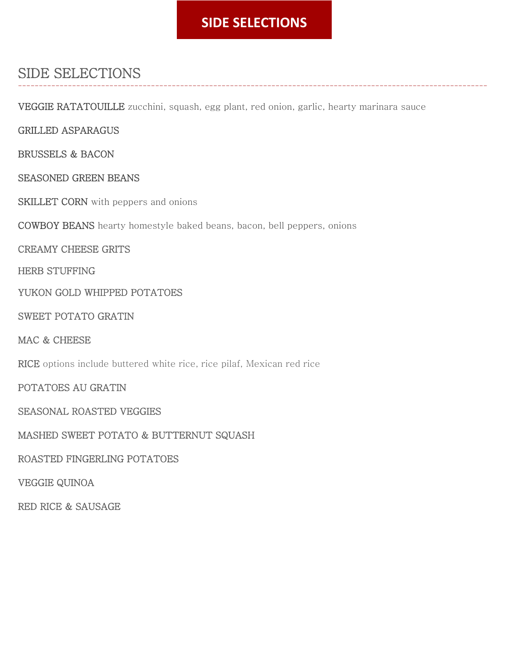# **SIDE SELECTIONS**

-----------------------------------------------------------------------------------------------------------------

# SIDE SELECTIONS

VEGGIE RATATOUILLE zucchini, squash, egg plant, red onion, garlic, hearty marinara sauce

GRILLED ASPARAGUS

BRUSSELS & BACON

SEASONED GREEN BEANS

SKILLET CORN with peppers and onions

COWBOY BEANS hearty homestyle baked beans, bacon, bell peppers, onions

CREAMY CHEESE GRITS

HERB STUFFING

YUKON GOLD WHIPPED POTATOES

SWEET POTATO GRATIN

MAC & CHEESE

RICE options include buttered white rice, rice pilaf, Mexican red rice

POTATOES AU GRATIN

SEASONAL ROASTED VEGGIES

MASHED SWEET POTATO & BUTTERNUT SQUASH

ROASTED FINGERLING POTATOES

VEGGIE QUINOA

RED RICE & SAUSAGE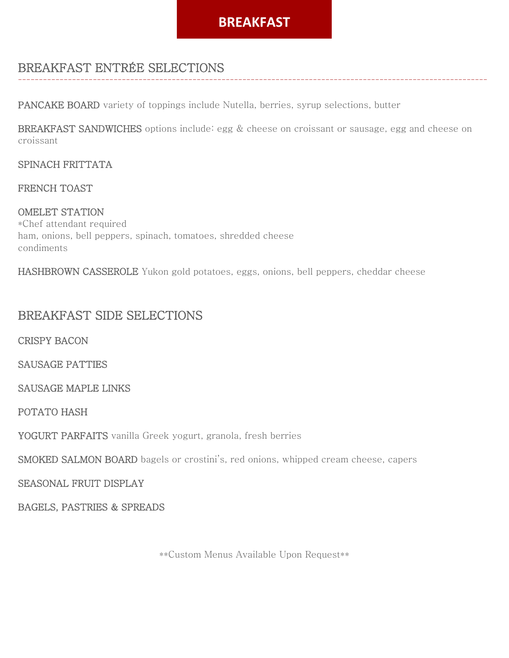### **BREAKFAST**

-----------------------------------------------------------------------------------------------------------------

### BREAKFAST ENTRÉE SELECTIONS

PANCAKE BOARD variety of toppings include Nutella, berries, syrup selections, butter

BREAKFAST SANDWICHES options include: egg & cheese on croissant or sausage, egg and cheese on croissant

#### SPINACH FRITTATA

#### FRENCH TOAST

OMELET STATION \*Chef attendant required ham, onions, bell peppers, spinach, tomatoes, shredded cheese condiments

HASHBROWN CASSEROLE Yukon gold potatoes, eggs, onions, bell peppers, cheddar cheese

### BREAKFAST SIDE SELECTIONS

CRISPY BACON

SAUSAGE PATTIES

SAUSAGE MAPLE LINKS

POTATO HASH

YOGURT PARFAITS vanilla Greek yogurt, granola, fresh berries

SMOKED SALMON BOARD bagels or crostini's, red onions, whipped cream cheese, capers

SEASONAL FRUIT DISPLAY

BAGELS, PASTRIES & SPREADS

\*\*Custom Menus Available Upon Request\*\*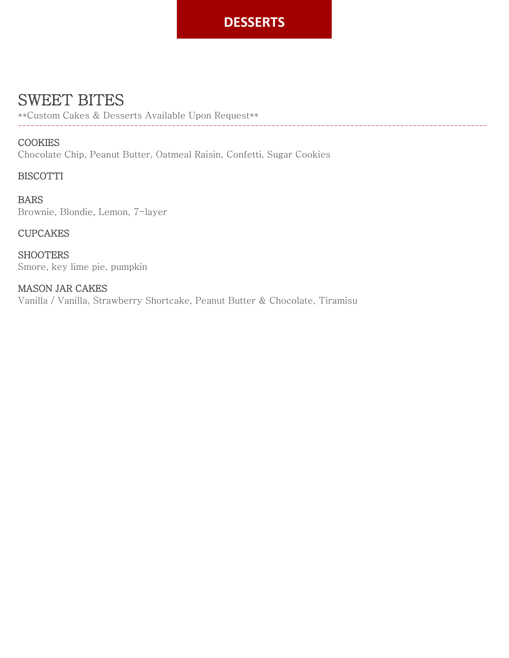# **DESSERTS**

-----------------------------------------------------------------------------------------------------------------

# SWEET BITES

\*\*Custom Cakes & Desserts Available Upon Request\*\*

### **COOKIES**

Chocolate Chip, Peanut Butter, Oatmeal Raisin, Confetti, Sugar Cookies

### BISCOTTI

BARS Brownie, Blondie, Lemon, 7-layer

### CUPCAKES

**SHOOTERS** Smore, key lime pie, pumpkin

### MASON JAR CAKES Vanilla / Vanilla, Strawberry Shortcake, Peanut Butter & Chocolate, Tiramisu